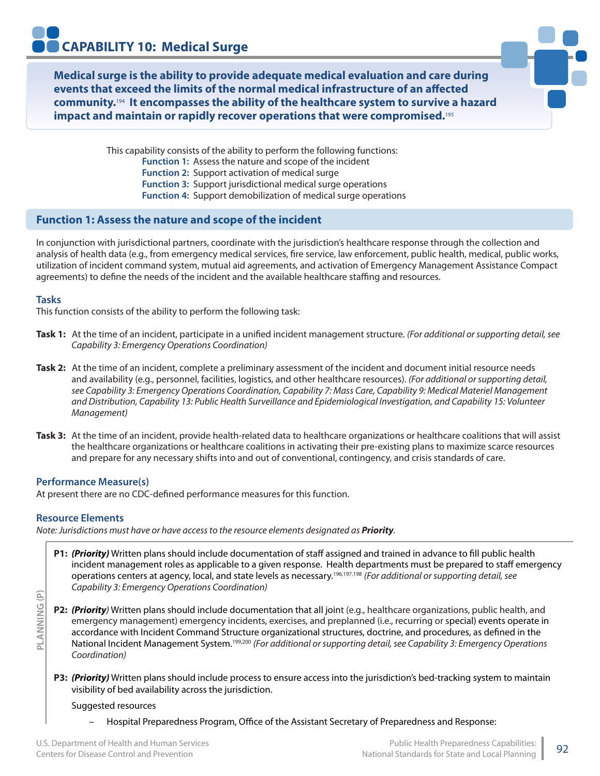**Medical surge is the ability to provide adequate medical evaluation and care during events that exceed the limits of the normal medical infrastructure of an affected community.**194 **It encompasses the ability of the healthcare system to survive a hazard impact and maintain or rapidly recover operations that were compromised.**<sup>195</sup>

> This capability consists of the ability to perform the following functions: **Function 1:** Assess the nature and scope of the incident **Function 2:** Support activation of medical surge **Function 3:** Support jurisdictional medical surge operations **Function 4:** Support demobilization of medical surge operations

## **Function 1: Assess the nature and scope of the incident**

In conjunction with jurisdictional partners, coordinate with the jurisdiction's healthcare response through the collection and analysis of health data (e.g., from emergency medical services, fire service, law enforcement, public health, medical, public works, utilization of incident command system, mutual aid agreements, and activation of Emergency Management Assistance Compact agreements) to define the needs of the incident and the available healthcare staffing and resources.

### **Tasks**

This function consists of the ability to perform the following task:

- **Task 1:** At the time of an incident, participate in a unified incident management structure. *(For additional or supporting detail, see Capability 3: Emergency Operations Coordination)*
- **Task 2:** At the time of an incident, complete a preliminary assessment of the incident and document initial resource needs and availability (e.g., personnel, facilities, logistics, and other healthcare resources). *(For additional or supporting detail, see Capability 3: Emergency Operations Coordination, Capability 7: Mass Care, Capability 9: Medical Materiel Management and Distribution, Capability 13: Public Health Surveillance and Epidemiological Investigation, and Capability 15: Volunteer Management)*
- **Task 3:** At the time of an incident, provide health-related data to healthcare organizations or healthcare coalitions that will assist the healthcare organizations or healthcare coalitions in activating their pre-existing plans to maximize scarce resources and prepare for any necessary shifts into and out of conventional, contingency, and crisis standards of care.

### **Performance Measure(s)**

At present there are no CDC-defined performance measures for this function.

### **Resource Elements**

**PLANNING (P)**

PLANNING (P)

*Note: Jurisdictions must have or have access to the resource elements designated as Priority.*

- **P1:** *(Priority)* Written plans should include documentation of staff assigned and trained in advance to fill public health incident management roles as applicable to a given response. Health departments must be prepared to staff emergency operations centers at agency, local, and state levels as necessary.196,197,198 *(For additional or supporting detail, see Capability 3: Emergency Operations Coordination)*
- **P2:** *(Priority)* Written plans should include documentation that all joint (e.g., healthcare organizations, public health, and emergency management) emergency incidents, exercises, and preplanned (i.e., recurring or special) events operate in accordance with Incident Command Structure organizational structures, doctrine, and procedures, as defined in the National Incident Management System.199,200 *(For additional or supporting detail, see Capability 3: Emergency Operations Coordination)*
- **P3:** *(Priority)* Written plans should include process to ensure access into the jurisdiction's bed-tracking system to maintain visibility of bed availability across the jurisdiction.

### Suggested resources

– Hospital Preparedness Program, Office of the Assistant Secretary of Preparedness and Response: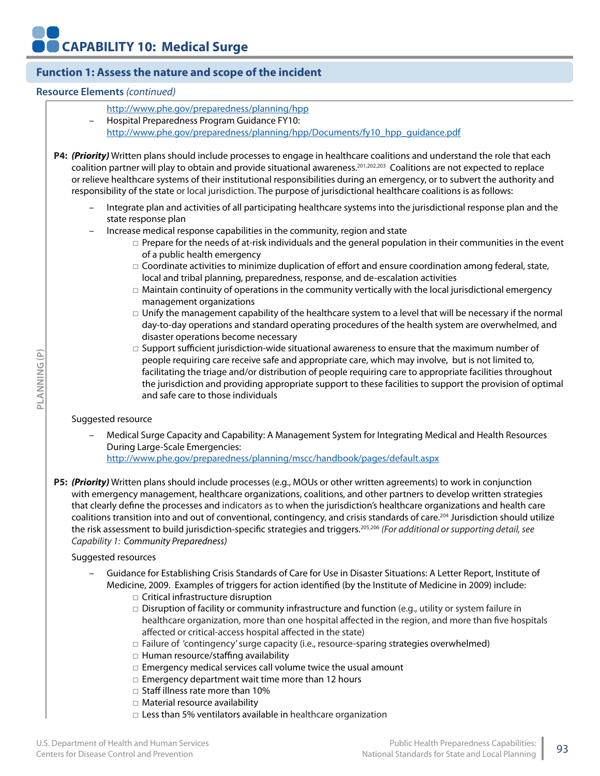## **Function 1: Assess the nature and scope of the incident**

#### **Resource Elements** *(continued)*

- http://www.phe.gov/preparedness/planning/hpp
- Hospital Preparedness Program Guidance FY10:

http://www.phe.gov/preparedness/planning/hpp/Documents/fy10\_hpp\_guidance.pdf

**P4:** *(Priority)* Written plans should include processes to engage in healthcare coalitions and understand the role that each coalition partner will play to obtain and provide situational awareness.201,202,203 Coalitions are not expected to replace or relieve healthcare systems of their institutional responsibilities during an emergency, or to subvert the authority and responsibility of the state or local jurisdiction. The purpose of jurisdictional healthcare coalitions is as follows:

- Integrate plan and activities of all participating healthcare systems into the jurisdictional response plan and the state response plan
- Increase medical response capabilities in the community, region and state
	- □ Prepare for the needs of at-risk individuals and the general population in their communities in the event of a public health emergency
	- $\Box$  Coordinate activities to minimize duplication of effort and ensure coordination among federal, state, local and tribal planning, preparedness, response, and de-escalation activities
	- $\Box$  Maintain continuity of operations in the community vertically with the local jurisdictional emergency management organizations
	- $\Box$  Unify the management capability of the healthcare system to a level that will be necessary if the normal day-to-day operations and standard operating procedures of the health system are overwhelmed, and disaster operations become necessary
	- $\Box$  Support sufficient jurisdiction-wide situational awareness to ensure that the maximum number of people requiring care receive safe and appropriate care, which may involve, but is not limited to, facilitating the triage and/or distribution of people requiring care to appropriate facilities throughout the jurisdiction and providing appropriate support to these facilities to support the provision of optimal and safe care to those individuals

## Suggested resource

**PLANNING (P)**

PLANNING (P)

– Medical Surge Capacity and Capability: A Management System for Integrating Medical and Health Resources During Large-Scale Emergencies:

http://www.phe.gov/preparedness/planning/mscc/handbook/pages/default.aspx

**P5:** *(Priority)* Written plans should include processes (e.g., MOUs or other written agreements) to work in conjunction with emergency management, healthcare organizations, coalitions, and other partners to develop written strategies that clearly define the processes and indicators as to when the jurisdiction's healthcare organizations and health care coalitions transition into and out of conventional, contingency, and crisis standards of care.<sup>204</sup> Jurisdiction should utilize the risk assessment to build jurisdiction-specific strategies and triggers.205,206 *(For additional or supporting detail, see Capability 1: Community Preparedness)*

### Suggested resources

- Guidance for Establishing Crisis Standards of Care for Use in Disaster Situations: A Letter Report, Institute of Medicine, 2009. Examples of triggers for action identified (by the Institute of Medicine in 2009) include:
	- □ Critical infrastructure disruption
	- □ Disruption of facility or community infrastructure and function (e.g., utility or system failure in healthcare organization, more than one hospital affected in the region, and more than five hospitals affected or critical-access hospital affected in the state)
	- $\square$  Failure of 'contingency' surge capacity (i.e., resource-sparing strategies overwhelmed)
	- □ Human resource/staffing availability
	- $\square$  Emergency medical services call volume twice the usual amount
	- □ Emergency department wait time more than 12 hours
	- □ Staff illness rate more than 10%
	- □ Material resource availability
	- □ Less than 5% ventilators available in healthcare organization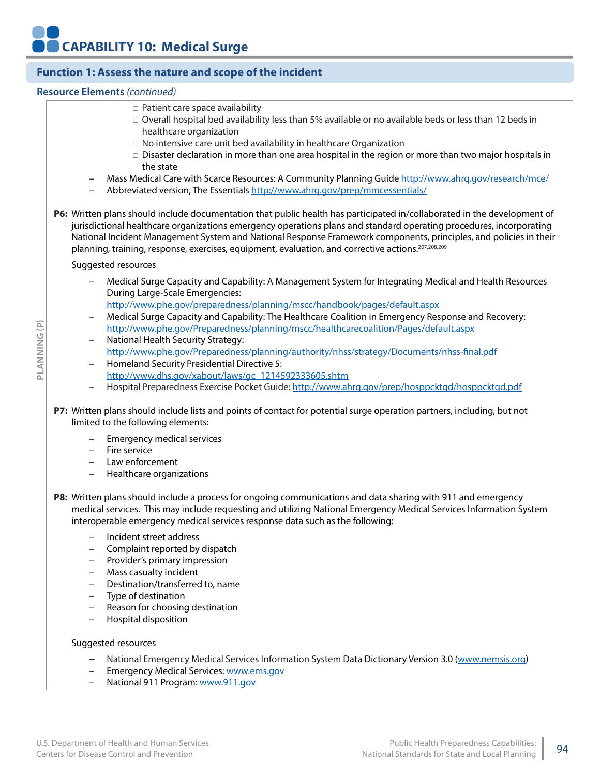## **Function 1: Assess the nature and scope of the incident**

## **Resource Elements** *(continued)*

- □ Patient care space availability
- $\Box$  Overall hospital bed availability less than 5% available or no available beds or less than 12 beds in healthcare organization
- $\Box$  No intensive care unit bed availability in healthcare Organization
- $\Box$  Disaster declaration in more than one area hospital in the region or more than two major hospitals in the state
- Mass Medical Care with Scarce Resources: A Community Planning Guide http://www.ahrq.gov/research/mce/
- Abbreviated version, The Essentials http://www.ahrq.gov/prep/mmcessentials/

**P6:** Written plans should include documentation that public health has participated in/collaborated in the development of jurisdictional healthcare organizations emergency operations plans and standard operating procedures, incorporating National Incident Management System and National Response Framework components, principles, and policies in their planning, training, response, exercises, equipment, evaluation, and corrective actions.207,208,209

Suggested resources

- Medical Surge Capacity and Capability: A Management System for Integrating Medical and Health Resources During Large-Scale Emergencies:
- http://www.phe.gov/preparedness/planning/mscc/handbook/pages/default.aspx
- Medical Surge Capacity and Capability: The Healthcare Coalition in Emergency Response and Recovery: http://www.phe.gov/Preparedness/planning/mscc/healthcarecoalition/Pages/default.aspx
- National Health Security Strategy: http://www.phe.gov/Preparedness/planning/authority/nhss/strategy/Documents/nhss-final.pdf
- Homeland Security Presidential Directive 5: http://www.dhs.gov/xabout/laws/gc\_1214592333605.shtm
- Hospital Preparedness Exercise Pocket Guide: http://www.ahrq.gov/prep/hosppcktgd/hosppcktgd.pdf
- **P7:** Written plans should include lists and points of contact for potential surge operation partners, including, but not limited to the following elements:
	- Emergency medical services
	- Fire service
	- Law enforcement
	- Healthcare organizations
- **P8:** Written plans should include a process for ongoing communications and data sharing with 911 and emergency medical services. This may include requesting and utilizing National Emergency Medical Services Information System interoperable emergency medical services response data such as the following:
	- Incident street address
	- Complaint reported by dispatch
	- Provider's primary impression
	- Mass casualty incident
	- Destination/transferred to, name
	- Type of destination
	- Reason for choosing destination
	- Hospital disposition

#### Suggested resources

- National Emergency Medical Services Information System Data Dictionary Version 3.0 (www.nemsis.org)
- Emergency Medical Services: www.ems.gov
- National 911 Program: www.911.gov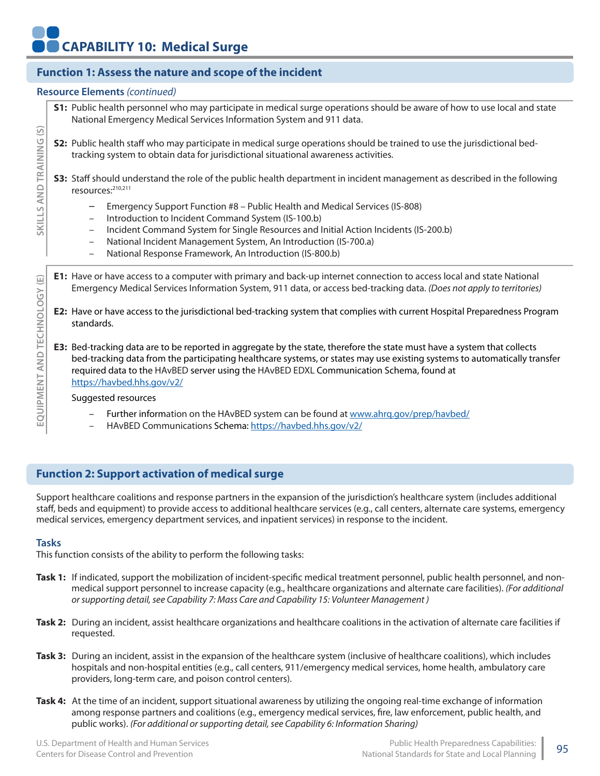# **Function 1: Assess the nature and scope of the incident**

#### **Resource Elements** *(continued)*

**S1:** Public health personnel who may participate in medical surge operations should be aware of how to use local and state National Emergency Medical Services Information System and 911 data.

**S2:** Public health staff who may participate in medical surge operations should be trained to use the jurisdictional bedtracking system to obtain data for jurisdictional situational awareness activities.

**S3:** Staff should understand the role of the public health department in incident management as described in the following resources:210,211

- Emergency Support Function #8 Public Health and Medical Services (IS-808)
- Introduction to Incident Command System (IS-100.b)
- Incident Command System for Single Resources and Initial Action Incidents (IS-200.b)
- National Incident Management System, An Introduction (IS-700.a)
- National Response Framework, An Introduction (IS-800.b)
- **E1:** Have or have access to a computer with primary and back-up internet connection to access local and state National Emergency Medical Services Information System, 911 data, or access bed-tracking data. *(Does not apply to territories)*
- **E2:** Have or have access to the jurisdictional bed-tracking system that complies with current Hospital Preparedness Program standards.
- **E3:** Bed-tracking data are to be reported in aggregate by the state, therefore the state must have a system that collects bed-tracking data from the participating healthcare systems, or states may use existing systems to automatically transfer required data to the HAvBED server using the HAvBED EDXL Communication Schema, found at https://havbed.hhs.gov/v2/

Suggested resources

- Further information on the HAvBED system can be found at www.ahrq.gov/prep/havbed/
- HAvBED Communications Schema: https://havbed.hhs.gov/v2/

## **Function 2: Support activation of medical surge**

Support healthcare coalitions and response partners in the expansion of the jurisdiction's healthcare system (includes additional staff, beds and equipment) to provide access to additional healthcare services (e.g., call centers, alternate care systems, emergency medical services, emergency department services, and inpatient services) in response to the incident.

### **Tasks**

This function consists of the ability to perform the following tasks:

- Task 1: If indicated, support the mobilization of incident-specific medical treatment personnel, public health personnel, and nonmedical support personnel to increase capacity (e.g., healthcare organizations and alternate care facilities). *(For additional or supporting detail, see Capability 7: Mass Care and Capability 15: Volunteer Management )*
- **Task 2:** During an incident, assist healthcare organizations and healthcare coalitions in the activation of alternate care facilities if requested.
- **Task 3:** During an incident, assist in the expansion of the healthcare system (inclusive of healthcare coalitions), which includes hospitals and non-hospital entities (e.g., call centers, 911/emergency medical services, home health, ambulatory care providers, long-term care, and poison control centers).
- **Task 4:** At the time of an incident, support situational awareness by utilizing the ongoing real-time exchange of information among response partners and coalitions (e.g., emergency medical services, fire, law enforcement, public health, and public works). *(For additional or supporting detail, see Capability 6: Information Sharing)*

**SKILLS AND TRAINING (S)**

SKILLS AND TRAINING

<u>ତି</u>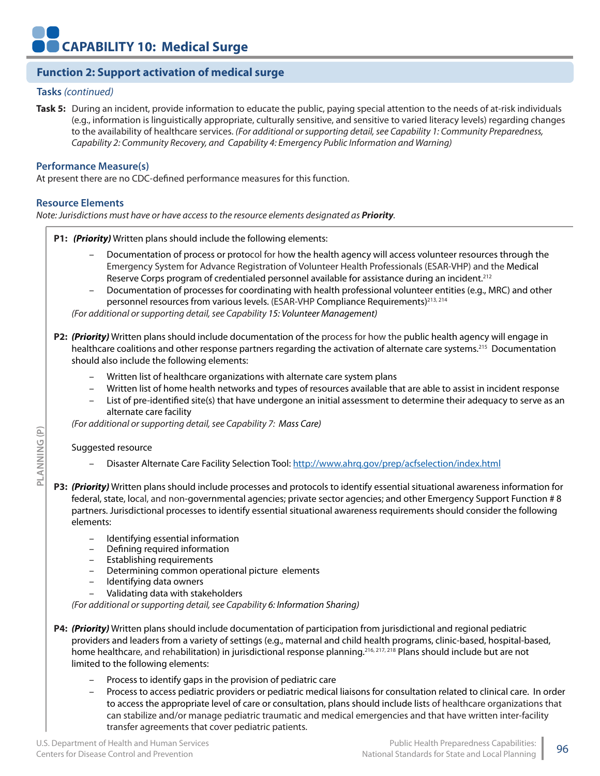## **Function 2: Support activation of medical surge**

#### **Tasks** *(continued)*

**Task 5:** During an incident, provide information to educate the public, paying special attention to the needs of at-risk individuals (e.g., information is linguistically appropriate, culturally sensitive, and sensitive to varied literacy levels) regarding changes to the availability of healthcare services. *(For additional or supporting detail, see Capability 1: Community Preparedness, Capability 2: Community Recovery, and Capability 4: Emergency Public Information and Warning)*

#### **Performance Measure(s)**

At present there are no CDC-defined performance measures for this function.

## **Resource Elements**

*Note: Jurisdictions must have or have access to the resource elements designated as Priority.*

**P1:** *(Priority)* Written plans should include the following elements:

- Documentation of process or protocol for how the health agency will access volunteer resources through the Emergency System for Advance Registration of Volunteer Health Professionals (ESAR-VHP) and the Medical Reserve Corps program of credentialed personnel available for assistance during an incident.<sup>212</sup>
- Documentation of processes for coordinating with health professional volunteer entities (e.g., MRC) and other personnel resources from various levels. (ESAR-VHP Compliance Requirements)<sup>213, 214</sup>

*(For additional or supporting detail, see Capability 15: Volunteer Management)*

**P2:** *(Priority)* Written plans should include documentation of the process for how the public health agency will engage in healthcare coalitions and other response partners regarding the activation of alternate care systems.<sup>215</sup> Documentation should also include the following elements:

- Written list of healthcare organizations with alternate care system plans
- Written list of home health networks and types of resources available that are able to assist in incident response
- List of pre-identified site(s) that have undergone an initial assessment to determine their adequacy to serve as an alternate care facility

*(For additional or supporting detail, see Capability 7: Mass Care)*

#### Suggested resource

**PLANNING (P)**

PLANNING

 $\widehat{P}$ 

- Disaster Alternate Care Facility Selection Tool: http://www.ahrq.gov/prep/acfselection/index.html
- **P3:** *(Priority)* Written plans should include processes and protocols to identify essential situational awareness information for federal, state, local, and non-governmental agencies; private sector agencies; and other Emergency Support Function # 8 partners. Jurisdictional processes to identify essential situational awareness requirements should consider the following elements:
	- Identifying essential information
	- Defining required information
	- Establishing requirements
	- Determining common operational picture elements
	- Identifying data owners
	- Validating data with stakeholders

*(For additional or supporting detail, see Capability 6: Information Sharing)*

**P4:** *(Priority)* Written plans should include documentation of participation from jurisdictional and regional pediatric providers and leaders from a variety of settings (e.g., maternal and child health programs, clinic-based, hospital-based, home healthcare, and rehabilitation) in jurisdictional response planning.<sup>216, 217, 218</sup> Plans should include but are not limited to the following elements:

- Process to identify gaps in the provision of pediatric care
- Process to access pediatric providers or pediatric medical liaisons for consultation related to clinical care. In order to access the appropriate level of care or consultation, plans should include lists of healthcare organizations that can stabilize and/or manage pediatric traumatic and medical emergencies and that have written inter-facility transfer agreements that cover pediatric patients.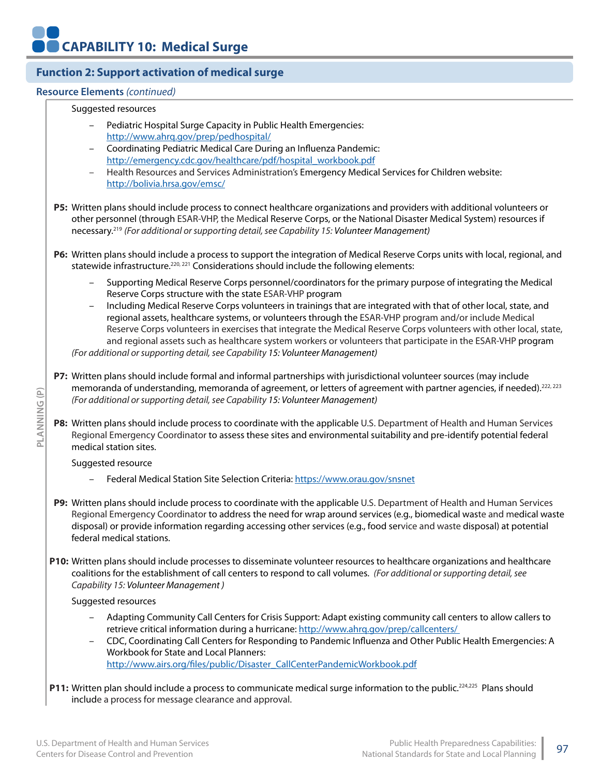## **Function 2: Support activation of medical surge**

## **Resource Elements** *(continued)*

#### Suggested resources

- Pediatric Hospital Surge Capacity in Public Health Emergencies: http://www.ahrq.gov/prep/pedhospital/
- Coordinating Pediatric Medical Care During an Influenza Pandemic: http://emergency.cdc.gov/healthcare/pdf/hospital\_workbook.pdf
- Health Resources and Services Administration's Emergency Medical Services for Children website: http://bolivia.hrsa.gov/emsc/

**P5:** Written plans should include process to connect healthcare organizations and providers with additional volunteers or other personnel (through ESAR-VHP, the Medical Reserve Corps, or the National Disaster Medical System) resources if necessary.219 *(For additional or supporting detail, see Capability 15: Volunteer Management)*

**P6:** Written plans should include a process to support the integration of Medical Reserve Corps units with local, regional, and statewide infrastructure.<sup>220, 221</sup> Considerations should include the following elements:

- Supporting Medical Reserve Corps personnel/coordinators for the primary purpose of integrating the Medical Reserve Corps structure with the state ESAR-VHP program
- Including Medical Reserve Corps volunteers in trainings that are integrated with that of other local, state, and regional assets, healthcare systems, or volunteers through the ESAR-VHP program and/or include Medical Reserve Corps volunteers in exercises that integrate the Medical Reserve Corps volunteers with other local, state, and regional assets such as healthcare system workers or volunteers that participate in the ESAR-VHP program *(For additional or supporting detail, see Capability 15: Volunteer Management)*

**P7:** Written plans should include formal and informal partnerships with jurisdictional volunteer sources (may include memoranda of understanding, memoranda of agreement, or letters of agreement with partner agencies, if needed).<sup>222, 223</sup> *(For additional or supporting detail, see Capability 15: Volunteer Management)*

**P8:** Written plans should include process to coordinate with the applicable U.S. Department of Health and Human Services Regional Emergency Coordinator to assess these sites and environmental suitability and pre-identify potential federal medical station sites.

Suggested resource

- Federal Medical Station Site Selection Criteria: https://www.orau.gov/snsnet
- **P9:** Written plans should include process to coordinate with the applicable U.S. Department of Health and Human Services Regional Emergency Coordinator to address the need for wrap around services (e.g., biomedical waste and medical waste disposal) or provide information regarding accessing other services (e.g., food service and waste disposal) at potential federal medical stations.
- **P10:** Written plans should include processes to disseminate volunteer resources to healthcare organizations and healthcare coalitions for the establishment of call centers to respond to call volumes. *(For additional or supporting detail, see Capability 15: Volunteer Management )*

Suggested resources

- Adapting Community Call Centers for Crisis Support: Adapt existing community call centers to allow callers to retrieve critical information during a hurricane: http://www.ahrq.gov/prep/callcenters/
- CDC, Coordinating Call Centers for Responding to Pandemic Influenza and Other Public Health Emergencies: A Workbook for State and Local Planners: http://www.airs.org/files/public/Disaster\_CallCenterPandemicWorkbook.pdf
- **P11:** Written plan should include a process to communicate medical surge information to the public.<sup>224,225</sup> Plans should include a process for message clearance and approval.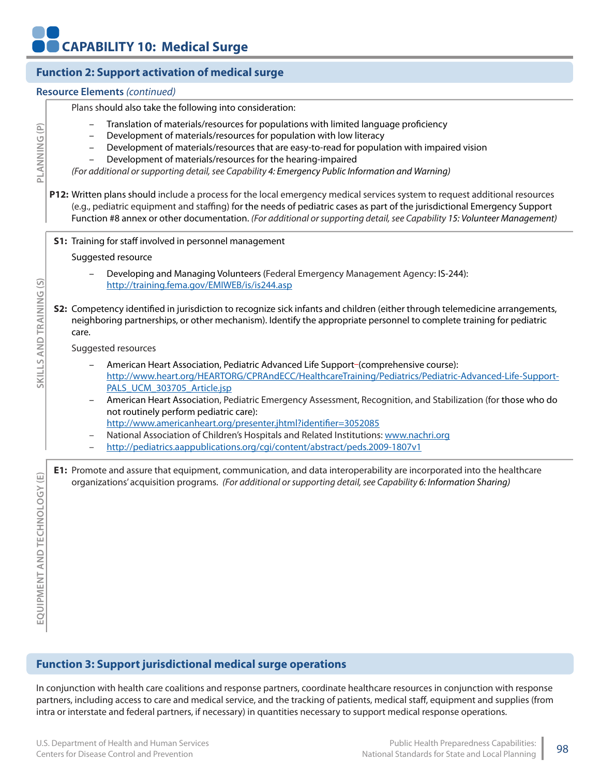|                                  | <b>Function 2: Support activation of medical surge</b>                                                                                                                                                                                                                                                                                                                                                                                                                                                                                                                                                                                                                                                                                                                                                                                                                                                                               |
|----------------------------------|--------------------------------------------------------------------------------------------------------------------------------------------------------------------------------------------------------------------------------------------------------------------------------------------------------------------------------------------------------------------------------------------------------------------------------------------------------------------------------------------------------------------------------------------------------------------------------------------------------------------------------------------------------------------------------------------------------------------------------------------------------------------------------------------------------------------------------------------------------------------------------------------------------------------------------------|
|                                  | <b>Resource Elements (continued)</b>                                                                                                                                                                                                                                                                                                                                                                                                                                                                                                                                                                                                                                                                                                                                                                                                                                                                                                 |
| PLANNING (P)                     | Plans should also take the following into consideration:<br>Translation of materials/resources for populations with limited language proficiency<br>Development of materials/resources for population with low literacy<br>$\overline{\phantom{0}}$<br>Development of materials/resources that are easy-to-read for population with impaired vision<br>$\qquad \qquad -$<br>Development of materials/resources for the hearing-impaired<br>(For additional or supporting detail, see Capability 4: Emergency Public Information and Warning)<br>P12: Written plans should include a process for the local emergency medical services system to request additional resources<br>(e.g., pediatric equipment and staffing) for the needs of pediatric cases as part of the jurisdictional Emergency Support<br>Function #8 annex or other documentation. (For additional or supporting detail, see Capability 15: Volunteer Management) |
|                                  | <b>S1:</b> Training for staff involved in personnel management                                                                                                                                                                                                                                                                                                                                                                                                                                                                                                                                                                                                                                                                                                                                                                                                                                                                       |
|                                  | Suggested resource                                                                                                                                                                                                                                                                                                                                                                                                                                                                                                                                                                                                                                                                                                                                                                                                                                                                                                                   |
| SKILLS AND TRAINING (S)          | Developing and Managing Volunteers (Federal Emergency Management Agency: IS-244):<br>http://training.fema.gov/EMIWEB/is/is244.asp                                                                                                                                                                                                                                                                                                                                                                                                                                                                                                                                                                                                                                                                                                                                                                                                    |
|                                  | <b>S2:</b> Competency identified in jurisdiction to recognize sick infants and children (either through telemedicine arrangements,<br>neighboring partnerships, or other mechanism). Identify the appropriate personnel to complete training for pediatric<br>care.<br>Suggested resources                                                                                                                                                                                                                                                                                                                                                                                                                                                                                                                                                                                                                                           |
|                                  | American Heart Association, Pediatric Advanced Life Support-(comprehensive course):<br>http://www.heart.org/HEARTORG/CPRAndECC/HealthcareTraining/Pediatrics/Pediatric-Advanced-Life-Support-<br>PALS_UCM_303705_Article.jsp<br>American Heart Association, Pediatric Emergency Assessment, Recognition, and Stabilization (for those who do<br>$\overline{\phantom{a}}$<br>not routinely perform pediatric care):<br>http://www.americanheart.org/presenter.jhtml?identifier=3052085<br>National Association of Children's Hospitals and Related Institutions: www.nachri.org<br>-<br>http://pediatrics.aappublications.org/cgi/content/abstract/peds.2009-1807v1<br>-                                                                                                                                                                                                                                                              |
| OGY (E)<br>EQUIPMENT AND TECHNOI | E1: Promote and assure that equipment, communication, and data interoperability are incorporated into the healthcare<br>organizations' acquisition programs. (For additional or supporting detail, see Capability 6: Information Sharing)                                                                                                                                                                                                                                                                                                                                                                                                                                                                                                                                                                                                                                                                                            |
|                                  | <b>Function 3: Support jurisdictional medical surge operations</b>                                                                                                                                                                                                                                                                                                                                                                                                                                                                                                                                                                                                                                                                                                                                                                                                                                                                   |
|                                  | In conjunction with health care coalitions and response partners, coordinate healthcare resources in conjunction with response<br>partners, including access to care and medical service, and the tracking of patients, medical staff, equipment and supplies (from<br>intra or interstate and federal partners, if necessary) in quantities necessary to support medical response operations.                                                                                                                                                                                                                                                                                                                                                                                                                                                                                                                                       |

# **Function 3: Support jurisdictional medical surge operations**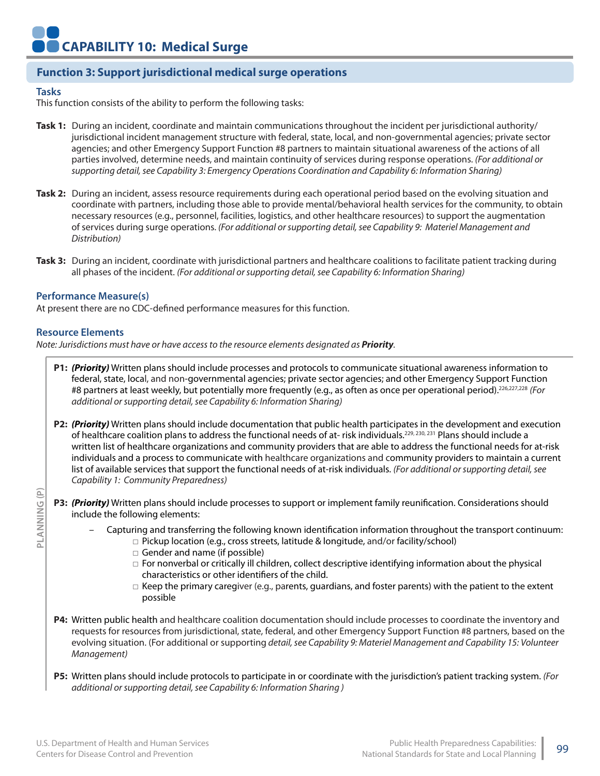## **Function 3: Support jurisdictional medical surge operations**

#### **Tasks**

This function consists of the ability to perform the following tasks:

- **Task 1:** During an incident, coordinate and maintain communications throughout the incident per jurisdictional authority/ jurisdictional incident management structure with federal, state, local, and non-governmental agencies; private sector agencies; and other Emergency Support Function #8 partners to maintain situational awareness of the actions of all parties involved, determine needs, and maintain continuity of services during response operations. *(For additional or supporting detail, see Capability 3: Emergency Operations Coordination and Capability 6: Information Sharing)*
- **Task 2:** During an incident, assess resource requirements during each operational period based on the evolving situation and coordinate with partners, including those able to provide mental/behavioral health services for the community, to obtain necessary resources (e.g., personnel, facilities, logistics, and other healthcare resources) to support the augmentation of services during surge operations. *(For additional or supporting detail, see Capability 9: Materiel Management and Distribution)*
- **Task 3:** During an incident, coordinate with jurisdictional partners and healthcare coalitions to facilitate patient tracking during all phases of the incident. *(For additional or supporting detail, see Capability 6: Information Sharing)*

#### **Performance Measure(s)**

At present there are no CDC-defined performance measures for this function.

#### **Resource Elements**

*Note: Jurisdictions must have or have access to the resource elements designated as Priority.*

- **P1:** *(Priority)* Written plans should include processes and protocols to communicate situational awareness information to federal, state, local, and non-governmental agencies; private sector agencies; and other Emergency Support Function #8 partners at least weekly, but potentially more frequently (e.g., as often as once per operational period).226,227,228 *(For additional or supporting detail, see Capability 6: Information Sharing)*
- **P2:** *(Priority)* Written plans should include documentation that public health participates in the development and execution of healthcare coalition plans to address the functional needs of at-risk individuals.<sup>229, 230, 231</sup> Plans should include a written list of healthcare organizations and community providers that are able to address the functional needs for at-risk individuals and a process to communicate with healthcare organizations and community providers to maintain a current list of available services that support the functional needs of at-risk individuals. *(For additional or supporting detail, see Capability 1: Community Preparedness)*
- **P3:** *(Priority)* Written plans should include processes to support or implement family reunification. Considerations should include the following elements:
	- Capturing and transferring the following known identification information throughout the transport continuum:
		- □ Pickup location (e.g., cross streets, latitude & longitude, and/or facility/school)
		- □ Gender and name (if possible)
		- □ For nonverbal or critically ill children, collect descriptive identifying information about the physical characteristics or other identifiers of the child.
		- $\Box$  Keep the primary caregiver (e.g., parents, guardians, and foster parents) with the patient to the extent possible
- **P4:** Written public health and healthcare coalition documentation should include processes to coordinate the inventory and requests for resources from jurisdictional, state, federal, and other Emergency Support Function #8 partners, based on the evolving situation. (For additional or supporting *detail, see Capability 9: Materiel Management and Capability 15: Volunteer Management)*
- **P5:** Written plans should include protocols to participate in or coordinate with the jurisdiction's patient tracking system. *(For additional or supporting detail, see Capability 6: Information Sharing )*

**PLANNING (P)**

PLANNING(P)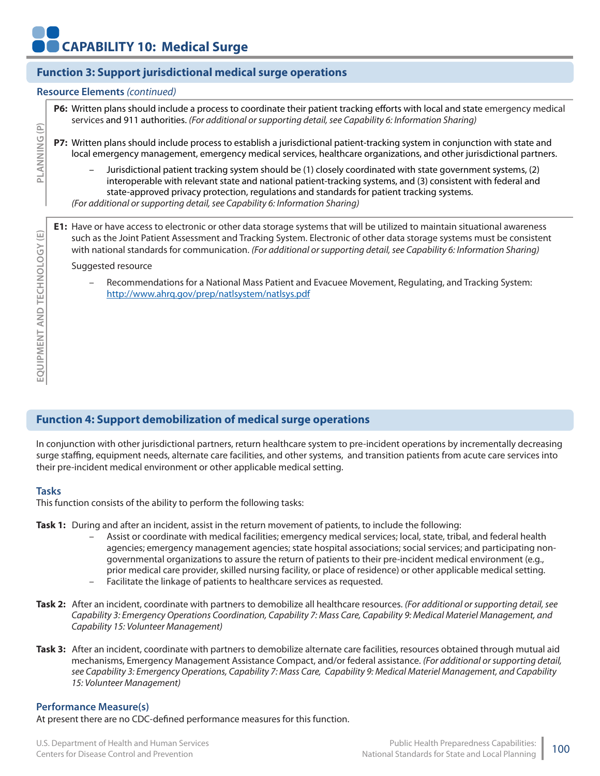# **Function 3: Support jurisdictional medical surge operations**

#### **Resource Elements** *(continued)*

**P6:** Written plans should include a process to coordinate their patient tracking efforts with local and state emergency medical services and 911 authorities. *(For additional or supporting detail, see Capability 6: Information Sharing)*

**P7:** Written plans should include process to establish a jurisdictional patient-tracking system in conjunction with state and local emergency management, emergency medical services, healthcare organizations, and other jurisdictional partners.

– Jurisdictional patient tracking system should be (1) closely coordinated with state government systems, (2) interoperable with relevant state and national patient-tracking systems, and (3) consistent with federal and state-approved privacy protection, regulations and standards for patient tracking systems.

*(For additional or supporting detail, see Capability 6: Information Sharing)*

**E1:** Have or have access to electronic or other data storage systems that will be utilized to maintain situational awareness such as the Joint Patient Assessment and Tracking System. Electronic of other data storage systems must be consistent with national standards for communication. *(For additional or supporting detail, see Capability 6: Information Sharing)*

#### Suggested resource

– Recommendations for a National Mass Patient and Evacuee Movement, Regulating, and Tracking System: http://www.ahrq.gov/prep/natlsystem/natlsys.pdf

## **Function 4: Support demobilization of medical surge operations**

In conjunction with other jurisdictional partners, return healthcare system to pre-incident operations by incrementally decreasing surge staffing, equipment needs, alternate care facilities, and other systems, and transition patients from acute care services into their pre-incident medical environment or other applicable medical setting.

### **Tasks**

This function consists of the ability to perform the following tasks:

**Task 1:** During and after an incident, assist in the return movement of patients, to include the following:

- Assist or coordinate with medical facilities; emergency medical services; local, state, tribal, and federal health agencies; emergency management agencies; state hospital associations; social services; and participating nongovernmental organizations to assure the return of patients to their pre-incident medical environment (e.g., prior medical care provider, skilled nursing facility, or place of residence) or other applicable medical setting. – Facilitate the linkage of patients to healthcare services as requested.
- **Task 2:** After an incident, coordinate with partners to demobilize all healthcare resources. *(For additional or supporting detail, see Capability 3: Emergency Operations Coordination, Capability 7: Mass Care, Capability 9: Medical Materiel Management, and Capability 15: Volunteer Management)*
- **Task 3:** After an incident, coordinate with partners to demobilize alternate care facilities, resources obtained through mutual aid mechanisms, Emergency Management Assistance Compact, and/or federal assistance. *(For additional or supporting detail, see Capability 3: Emergency Operations, Capability 7: Mass Care, Capability 9: Medical Materiel Management, and Capability 15: Volunteer Management)*

### **Performance Measure(s)**

At present there are no CDC-defined performance measures for this function.

**PLANNING (P)**

흐

LANNING (P)